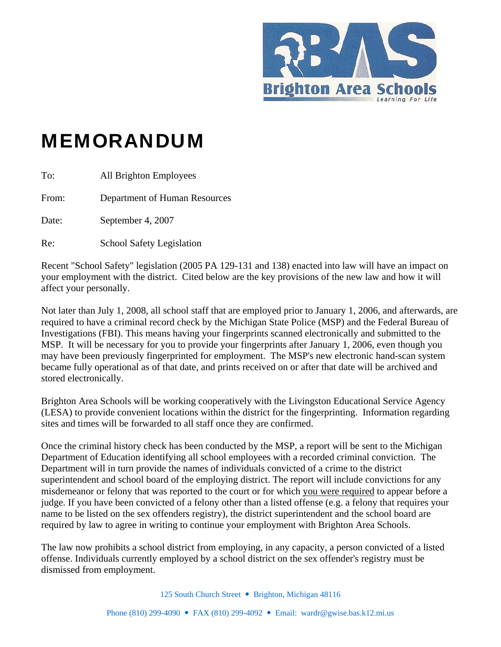

## MEMORANDUM

| To:   | All Brighton Employees           |
|-------|----------------------------------|
| From: | Department of Human Resources    |
| Date: | September 4, 2007                |
| Re:   | <b>School Safety Legislation</b> |

Recent "School Safety" legislation (2005 PA 129-131 and 138) enacted into law will have an impact on your employment with the district. Cited below are the key provisions of the new law and how it will affect your personally.

Not later than July 1, 2008, all school staff that are employed prior to January 1, 2006, and afterwards, are required to have a criminal record check by the Michigan State Police (MSP) and the Federal Bureau of Investigations (FBI). This means having your fingerprints scanned electronically and submitted to the MSP. It will be necessary for you to provide your fingerprints after January 1, 2006, even though you may have been previously fingerprinted for employment. The MSP's new electronic hand-scan system became fully operational as of that date, and prints received on or after that date will be archived and stored electronically.

Brighton Area Schools will be working cooperatively with the Livingston Educational Service Agency (LESA) to provide convenient locations within the district for the fingerprinting. Information regarding sites and times will be forwarded to all staff once they are confirmed.

Once the criminal history check has been conducted by the MSP, a report will be sent to the Michigan Department of Education identifying all school employees with a recorded criminal conviction. The Department will in turn provide the names of individuals convicted of a crime to the district superintendent and school board of the employing district. The report will include convictions for any misdemeanor or felony that was reported to the court or for which you were required to appear before a judge. If you have been convicted of a felony other than a listed offense (e.g. a felony that requires your name to be listed on the sex offenders registry), the district superintendent and the school board are required by law to agree in writing to continue your employment with Brighton Area Schools.

The law now prohibits a school district from employing, in any capacity, a person convicted of a listed offense. Individuals currently employed by a school district on the sex offender's registry must be dismissed from employment.

125 South Church Street • Brighton, Michigan 48116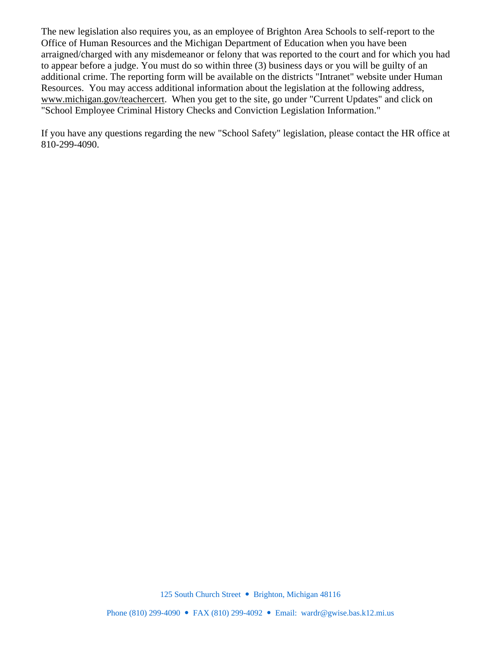The new legislation also requires you, as an employee of Brighton Area Schools to self-report to the Office of Human Resources and the Michigan Department of Education when you have been arraigned/charged with any misdemeanor or felony that was reported to the court and for which you had to appear before a judge. You must do so within three (3) business days or you will be guilty of an additional crime. The reporting form will be available on the districts "Intranet" website under Human Resources. You may access additional information about the legislation at the following address, www.michigan.gov/teachercert. When you get to the site, go under "Current Updates" and click on "School Employee Criminal History Checks and Conviction Legislation Information."

If you have any questions regarding the new "School Safety" legislation, please contact the HR office at 810-299-4090.